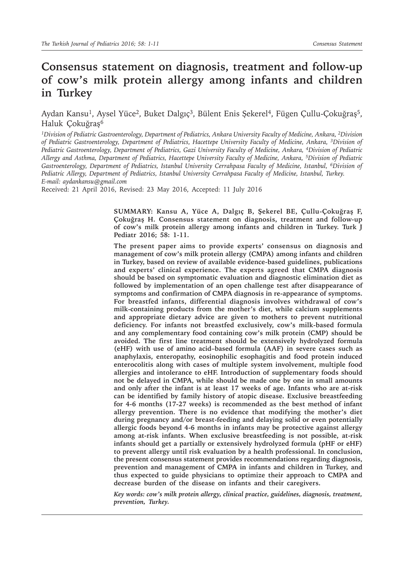# **Consensus statement on diagnosis, treatment and follow-up of cow's milk protein allergy among infants and children in Turkey**

Aydan Kansu<sup>1</sup>, Aysel Yüce<sup>2</sup>, Buket Dalgıç<sup>3</sup>, Bülent Enis Şekerel<sup>4</sup>, Fügen Çullu-Çokuğraş<sup>5</sup>, Haluk Çokuğraş<sup>6</sup>

*1Division of Pediatric Gastroenterology, Department of Pediatrics, Ankara University Faculty of Medicine, Ankara, 2Division of Pediatric Gastroenterology, Department of Pediatrics, Hacettepe University Faculty of Medicine, Ankara, 3Division of Pediatric Gastroenterology, Department of Pediatrics, Gazi University Faculty of Medicine, Ankara, 4Division of Pediatric Allergy and Asthma, Department of Pediatrics, Hacettepe University Faculty of Medicine, Ankara, 5Division of Pediatric*  Gastroenterology, Department of Pediatrics, Istanbul University Cerrahpasa Faculty of Medicine, Istanbul, <sup>6</sup>Division of *Pediatric Allergy, Department of Pediatrics, Istanbul University Cerrahpasa Faculty of Medicine, Istanbul, Turkey. E-mail: aydankansu@gmail.com*

Received: 21 April 2016, Revised: 23 May 2016, Accepted: 11 July 2016

**SUMMARY: Kansu A, Yüce A, Dalgıç B, Şekerel BE, Çullu-Çokuğraş F, Çokuğraş H. Consensus statement on diagnosis, treatment and follow-up of cow's milk protein allergy among infants and children in Turkey. Turk J Pediatr 2016; 58: 1-11.** 

**The present paper aims to provide experts' consensus on diagnosis and management of cow's milk protein allergy (CMPA) among infants and children in Turkey, based on review of available evidence-based guidelines, publications and experts' clinical experience. The experts agreed that CMPA diagnosis should be based on symptomatic evaluation and diagnostic elimination diet as followed by implementation of an open challenge test after disappearance of symptoms and confirmation of CMPA diagnosis in re-appearance of symptoms. For breastfed infants, differential diagnosis involves withdrawal of cow's milk-containing products from the mother's diet, while calcium supplements and appropriate dietary advice are given to mothers to prevent nutritional deficiency. For infants not breastfed exclusively, cow's milk-based formula and any complementary food containing cow's milk protein (CMP) should be avoided. The first line treatment should be extensively hydrolyzed formula (eHF) with use of amino acid–based formula (AAF) in severe cases such as anaphylaxis, enteropathy, eosinophilic esophagitis and food protein induced enterocolitis along with cases of multiple system involvement, multiple food allergies and intolerance to eHF. Introduction of supplementary foods should not be delayed in CMPA, while should be made one by one in small amounts and only after the infant is at least 17 weeks of age. Infants who are at-risk can be identified by family history of atopic disease. Exclusive breastfeeding for 4-6 months (17-27 weeks) is recommended as the best method of infant allergy prevention. There is no evidence that modifying the mother's diet during pregnancy and/or breast-feeding and delaying solid or even potentially allergic foods beyond 4-6 months in infants may be protective against allergy among at-risk infants. When exclusive breastfeeding is not possible, at-risk infants should get a partially or extensively hydrolyzed formula (pHF or eHF) to prevent allergy until risk evaluation by a health professional. In conclusion, the present consensus statement provides recommendations regarding diagnosis, prevention and management of CMPA in infants and children in Turkey, and thus expected to guide physicians to optimize their approach to CMPA and decrease burden of the disease on infants and their caregivers.**

*Key words: cow's milk protein allergy, clinical practice, guidelines, diagnosis, treatment, prevention, Turkey.*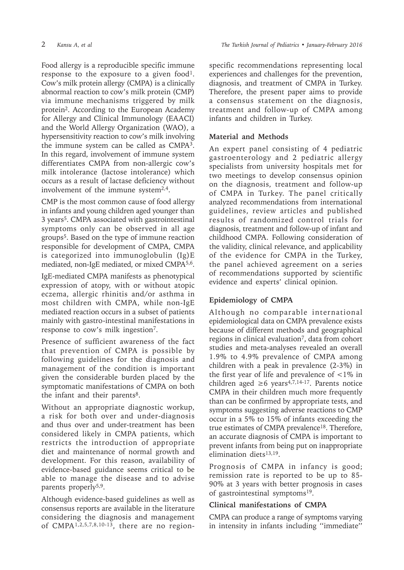Food allergy is a reproducible specific immune response to the exposure to a given food<sup>1</sup>. Cow's milk protein allergy (CMPA) is a clinically abnormal reaction to cow's milk protein (CMP) via immune mechanisms triggered by milk protein<sup>2</sup>. According to the European Academy for Allergy and Clinical Immunology (EAACI) and the World Allergy Organization (WAO), a hypersensitivity reaction to cow's milk involving the immune system can be called as CMPA3. In this regard, involvement of immune system differentiates CMPA from non-allergic cow's milk intolerance (lactose intolerance) which occurs as a result of lactase deficiency without involvement of the immune system $2.4$ .

CMP is the most common cause of food allergy in infants and young children aged younger than 3 years5. CMPA associated with gastrointestinal symptoms only can be observed in all age groups<sup>5</sup>. Based on the type of immune reaction responsible for development of CMPA, CMPA is categorized into immunoglobulin (Ig)E mediated, non-IgE mediated, or mixed CMPA5,6.

IgE-mediated CMPA manifests as phenotypical expression of atopy, with or without atopic eczema, allergic rhinitis and/or asthma in most children with CMPA, while non-IgE mediated reaction occurs in a subset of patients mainly with gastro-intestinal manifestations in response to cow's milk ingestion7.

Presence of sufficient awareness of the fact that prevention of CMPA is possible by following guidelines for the diagnosis and management of the condition is important given the considerable burden placed by the symptomatic manifestations of CMPA on both the infant and their parents<sup>8</sup>.

Without an appropriate diagnostic workup, a risk for both over and under-diagnosis and thus over and under-treatment has been considered likely in CMPA patients, which restricts the introduction of appropriate diet and maintenance of normal growth and development. For this reason, availability of evidence-based guidance seems critical to be able to manage the disease and to advise parents properly<sup>5,9</sup>.

Although evidence-based guidelines as well as consensus reports are available in the literature considering the diagnosis and management of CMPA1,2,5,7,8,10-13, there are no regionspecific recommendations representing local experiences and challenges for the prevention, diagnosis, and treatment of CMPA in Turkey. Therefore, the present paper aims to provide a consensus statement on the diagnosis, treatment and follow-up of CMPA among infants and children in Turkey.

#### **Material and Methods**

An expert panel consisting of 4 pediatric gastroenterology and 2 pediatric allergy specialists from university hospitals met for two meetings to develop consensus opinion on the diagnosis, treatment and follow-up of CMPA in Turkey. The panel critically analyzed recommendations from international guidelines, review articles and published results of randomized control trials for diagnosis, treatment and follow-up of infant and childhood CMPA. Following consideration of the validity, clinical relevance, and applicability of the evidence for CMPA in the Turkey, the panel achieved agreement on a series of recommendations supported by scientific evidence and experts' clinical opinion.

# **Epidemiology of CMPA**

Although no comparable international epidemiological data on CMPA prevalence exists because of different methods and geographical regions in clinical evaluation7, data from cohort studies and meta-analyses revealed an overall 1.9% to 4.9% prevalence of CMPA among children with a peak in prevalence (2-3%) in the first year of life and prevalence of <1% in children aged  $\geq 6$  years<sup>4,7,14-17</sup>. Parents notice CMPA in their children much more frequently than can be confirmed by appropriate tests, and symptoms suggesting adverse reactions to CMP occur in a 5% to 15% of infants exceeding the true estimates of CMPA prevalence<sup>18</sup>. Therefore, an accurate diagnosis of CMPA is important to prevent infants from being put on inappropriate elimination diets $13,19$ .

Prognosis of CMPA in infancy is good; remission rate is reported to be up to 85- 90% at 3 years with better prognosis in cases of gastrointestinal symptoms<sup>19</sup>.

# **Clinical manifestations of CMPA**

CMPA can produce a range of symptoms varying in intensity in infants including ''immediate''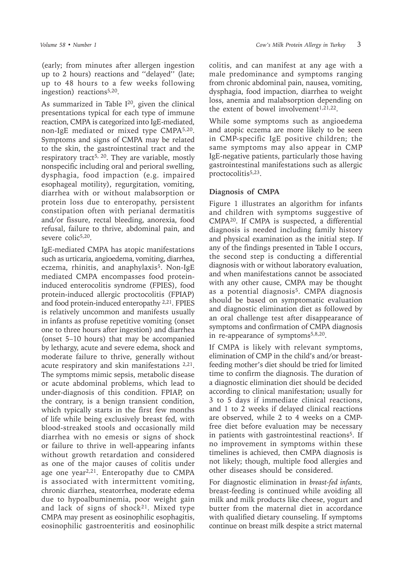(early; from minutes after allergen ingestion up to 2 hours) reactions and ''delayed'' (late; up to 48 hours to a few weeks following ingestion) reactions $5,20$ .

As summarized in Table  $I^{20}$ , given the clinical presentations typical for each type of immune reaction, CMPA is categorized into IgE-mediated, non-IgE mediated or mixed type CMPA5,20. Symptoms and signs of CMPA may be related to the skin, the gastrointestinal tract and the respiratory tract<sup>5, 20</sup>. They are variable, mostly nonspecific including oral and perioral swelling, dysphagia, food impaction (e.g. impaired esophageal motility), regurgitation, vomiting, diarrhea with or without malabsorption or protein loss due to enteropathy, persistent constipation often with perianal dermatitis and/or fissure, rectal bleeding, anorexia, food refusal, failure to thrive, abdominal pain, and severe colic<sup>5,20</sup>.

IgE-mediated CMPA has atopic manifestations such as urticaria, angioedema, vomiting, diarrhea, eczema, rhinitis, and anaphylaxis<sup>5</sup>. Non-IgE mediated CMPA encompasses food proteininduced enterocolitis syndrome (FPIES), food protein-induced allergic proctocolitis (FPIAP) and food protein-induced enteropathy 2,21. FPIES is relatively uncommon and manifests usually in infants as profuse repetitive vomiting (onset one to three hours after ingestion) and diarrhea (onset 5–10 hours) that may be accompanied by lethargy, acute and severe edema, shock and moderate failure to thrive, generally without acute respiratory and skin manifestations <sup>2,21</sup>. The symptoms mimic sepsis, metabolic disease or acute abdominal problems, which lead to under-diagnosis of this condition. FPIAP, on the contrary, is a benign transient condition, which typically starts in the first few months of life while being exclusively breast fed, with blood-streaked stools and occasionally mild diarrhea with no emesis or signs of shock or failure to thrive in well-appearing infants without growth retardation and considered as one of the major causes of colitis under age one year<sup>2,21</sup>. Enteropathy due to CMPA is associated with intermittent vomiting, chronic diarrhea, steatorrhea, moderate edema due to hypoalbuminemia, poor weight gain and lack of signs of shock<sup>21</sup>. Mixed type CMPA may present as eosinophilic esophagitis, eosinophilic gastroenteritis and eosinophilic

colitis, and can manifest at any age with a male predominance and symptoms ranging from chronic abdominal pain, nausea, vomiting, dysphagia, food impaction, diarrhea to weight loss, anemia and malabsorption depending on the extent of bowel involvement<sup>1,21,22</sup>.

While some symptoms such as angioedema and atopic eczema are more likely to be seen in CMP-specific IgE positive children; the same symptoms may also appear in CMP IgE-negative patients, particularly those having gastrointestinal manifestations such as allergic proctocolitis<sup>5,23</sup>.

#### **Diagnosis of CMPA**

Figure 1 illustrates an algorithm for infants and children with symptoms suggestive of CMPA20. If CMPA is suspected, a differential diagnosis is needed including family history and physical examination as the initial step. If any of the findings presented in Table I occurs, the second step is conducting a differential diagnosis with or without laboratory evaluation, and when manifestations cannot be associated with any other cause, CMPA may be thought as a potential diagnosis<sup>5</sup>. CMPA diagnosis should be based on symptomatic evaluation and diagnostic elimination diet as followed by an oral challenge test after disappearance of symptoms and confirmation of CMPA diagnosis in re-appearance of symptoms<sup>5,8,20</sup>.

If CMPA is likely with relevant symptoms, elimination of CMP in the child's and/or breastfeeding mother's diet should be tried for limited time to confirm the diagnosis. The duration of a diagnostic elimination diet should be decided according to clinical manifestation; usually for 3 to 5 days if immediate clinical reactions, and 1 to 2 weeks if delayed clinical reactions are observed, while 2 to 4 weeks on a CMPfree diet before evaluation may be necessary in patients with gastrointestinal reactions<sup>5</sup>. If no improvement in symptoms within these timelines is achieved, then CMPA diagnosis is not likely; though, multiple food allergies and other diseases should be considered.

For diagnostic elimination in *breast-fed infants,*  breast-feeding is continued while avoiding all milk and milk products like cheese, yogurt and butter from the maternal diet in accordance with qualified dietary counseling. If symptoms continue on breast milk despite a strict maternal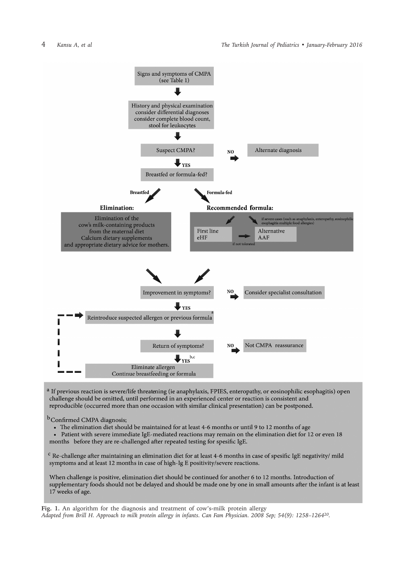

<sup>a</sup> If previous reaction is severe/life threatening (ie anaphylaxis, FPIES, enteropathy, or eosinophilic esophagitis) open challenge should be omitted, until performed in an experienced center or reaction is consistent and reproducible (occurred more than one occasion with similar clinical presentation) can be postponed.

<sup>b</sup>Confirmed CMPA diagnosis;

- The elimination diet should be maintained for at least 4-6 months or until 9 to 12 months of age
- Patient with severe immediate IgE-mediated reactions may remain on the elimination diet for 12 or even 18 months before they are re-challenged after repeated testing for spesific IgE.

<sup>c</sup> Re-challenge after maintaining an elimination diet for at least 4-6 months in case of spesific IgE negativity/ mild symptoms and at least 12 months in case of high-Ig E positivity/severe reactions.

When challenge is positive, elimination diet should be continued for another 6 to 12 months. Introduction of supplementary foods should not be delayed and should be made one by one in small amounts after the infant is at least 17 weeks of age.

**Fig. 1.** An algorithm for the diagnosis and treatment of cow's-milk protein allergy *Adapted from Brill H. Approach to milk protein allergy in infants. Can Fam Physician. 2008 Sep; 54(9): 1258–126420.*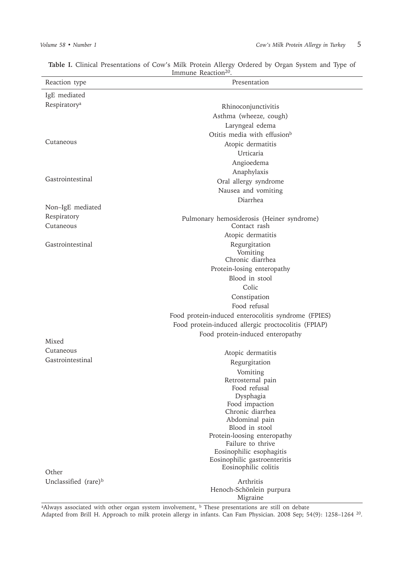| Reaction type                    | Presentation                                              |
|----------------------------------|-----------------------------------------------------------|
| IgE mediated                     |                                                           |
| Respiratory <sup>a</sup>         | Rhinoconjunctivitis                                       |
|                                  | Asthma (wheeze, cough)                                    |
|                                  | Laryngeal edema                                           |
|                                  | Otitis media with effusion <sup>b</sup>                   |
| Cutaneous                        | Atopic dermatitis                                         |
|                                  | Urticaria                                                 |
|                                  | Angioedema                                                |
|                                  | Anaphylaxis                                               |
| Gastrointestinal                 | Oral allergy syndrome                                     |
|                                  | Nausea and vomiting                                       |
|                                  | Diarrhea                                                  |
| Non-IgE mediated                 |                                                           |
| Respiratory<br>Cutaneous         | Pulmonary hemosiderosis (Heiner syndrome)<br>Contact rash |
|                                  | Atopic dermatitis                                         |
| Gastrointestinal                 | Regurgitation                                             |
|                                  | Vomiting                                                  |
|                                  | Chronic diarrhea                                          |
|                                  | Protein-losing enteropathy                                |
|                                  | Blood in stool                                            |
|                                  | Colic                                                     |
|                                  | Constipation                                              |
|                                  | Food refusal                                              |
|                                  | Food protein-induced enterocolitis syndrome (FPIES)       |
|                                  | Food protein-induced allergic proctocolitis (FPIAP)       |
| Mixed                            | Food protein-induced enteropathy                          |
| Cutaneous                        |                                                           |
| Gastrointestinal                 | Atopic dermatitis                                         |
|                                  | Regurgitation                                             |
|                                  | Vomiting                                                  |
|                                  | Retrosternal pain<br>Food refusal                         |
|                                  | Dysphagia                                                 |
|                                  | Food impaction                                            |
|                                  | Chronic diarrhea                                          |
|                                  | Abdominal pain                                            |
|                                  | Blood in stool                                            |
|                                  | Protein-loosing enteropathy<br>Failure to thrive          |
|                                  | Eosinophilic esophagitis                                  |
|                                  | Eosinophilic gastroenteritis                              |
|                                  | Eosinophilic colitis                                      |
| Other                            |                                                           |
| Unclassified (rare) <sup>b</sup> | Arthritis<br>Henoch-Schönlein purpura                     |
|                                  | Migraine                                                  |

**Table I.** Clinical Presentations of Cow's Milk Protein Allergy Ordered by Organ System and Type of Immune Reaction<sup>20</sup>.

<sup>a</sup>Always associated with other organ system involvement, <sup>b</sup> These presentations are still on debate Adapted from Brill H. Approach to milk protein allergy in infants. Can Fam Physician. 2008 Sep; 54(9): 1258–1264 20.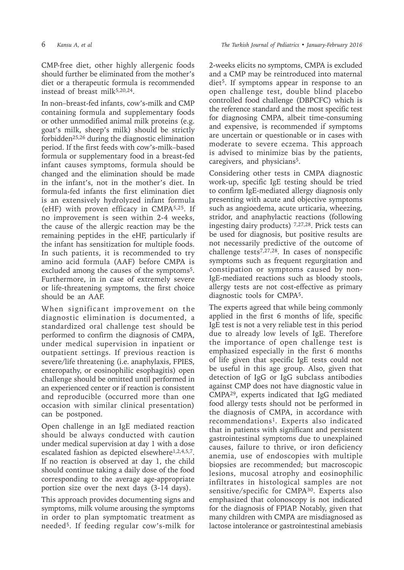CMP-free diet, other highly allergenic foods should further be eliminated from the mother's diet or a therapeutic formula is recommended instead of breast milk $5,20,24$ .

In non–breast-fed infants, cow's-milk and CMP containing formula and supplementary foods or other unmodified animal milk proteins (e.g. goat's milk, sheep's milk) should be strictly forbidden25,26 during the diagnostic elimination period. If the first feeds with cow's-milk–based formula or supplementary food in a breast-fed infant causes symptoms, formula should be changed and the elimination should be made in the infant's, not in the mother's diet. In formula-fed infants the first elimination diet is an extensively hydrolyzed infant formula (eHF) with proven efficacy in CMPA5,25. If no improvement is seen within 2-4 weeks, the cause of the allergic reaction may be the remaining peptides in the eHF, particularly if the infant has sensitization for multiple foods. In such patients, it is recommended to try amino acid formula (AAF) before CMPA is excluded among the causes of the symptoms<sup>5</sup>. Furthermore, in in case of extremely severe or life-threatening symptoms, the first choice should be an AAF.

When significant improvement on the diagnostic elimination is documented, a standardized oral challenge test should be performed to confirm the diagnosis of CMPA, under medical supervision in inpatient or outpatient settings. If previous reaction is severe/life threatening (i.e. anaphylaxis, FPIES, enteropathy, or eosinophilic esophagitis) open challenge should be omitted until performed in an experienced center or if reaction is consistent and reproducible (occurred more than one occasion with similar clinical presentation) can be postponed.

Open challenge in an IgE mediated reaction should be always conducted with caution under medical supervision at day 1 with a dose escalated fashion as depicted elsewhere<sup>1,2,4,5,7</sup>. If no reaction is observed at day 1, the child should continue taking a daily dose of the food corresponding to the average age-appropriate portion size over the next days (3-14 days).

This approach provides documenting signs and symptoms, milk volume arousing the symptoms in order to plan symptomatic treatment as needed5. If feeding regular cow's-milk for

2-weeks elicits no symptoms, CMPA is excluded and a CMP may be reintroduced into maternal diet<sup>5</sup>. If symptoms appear in response to an open challenge test, double blind placebo controlled food challenge (DBPCFC) which is the reference standard and the most specific test for diagnosing CMPA, albeit time-consuming and expensive, is recommended if symptoms are uncertain or questionable or in cases with moderate to severe eczema. This approach is advised to minimize bias by the patients, caregivers, and physicians<sup>5</sup>.

Considering other tests in CMPA diagnostic work-up, specific IgE testing should be tried to confirm IgE-mediated allergy diagnosis only presenting with acute and objective symptoms such as angioedema, acute urticaria, wheezing, stridor, and anaphylactic reactions (following ingesting dairy products) 7,27,28. Prick tests can be used for diagnosis, but positive results are not necessarily predictive of the outcome of challenge tests7,27,28. In cases of nonspecific symptoms such as frequent regurgitation and constipation or symptoms caused by non-IgE-mediated reactions such as bloody stools, allergy tests are not cost-effective as primary diagnostic tools for CMPA5.

The experts agreed that while being commonly applied in the first 6 months of life, specific IgE test is not a very reliable test in this period due to already low levels of IgE. Therefore the importance of open challenge test is emphasized especially in the first 6 months of life given that specific IgE tests could not be useful in this age group. Also, given that detection of IgG or IgG subclass antibodies against CMP does not have diagnostic value in CMPA<sup>29</sup>, experts indicated that IgG mediated food allergy tests should not be performed in the diagnosis of CMPA, in accordance with recommendations<sup>1</sup>. Experts also indicated that in patients with significant and persistent gastrointestinal symptoms due to unexplained causes, failure to thrive, or iron deficiency anemia, use of endoscopies with multiple biopsies are recommended; but macroscopic lesions, mucosal atrophy and eosinophilic infiltrates in histological samples are not sensitive/specific for CMPA30. Experts also emphasized that colonoscopy is not indicated for the diagnosis of FPIAP. Notably, given that many children with CMPA are misdiagnosed as lactose intolerance or gastrointestinal amebiasis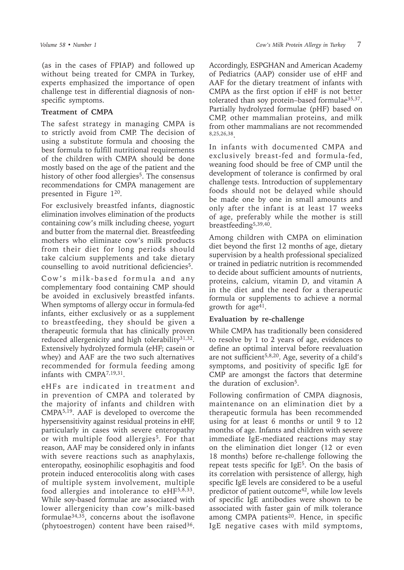(as in the cases of FPIAP) and followed up without being treated for CMPA in Turkey, experts emphasized the importance of open challenge test in differential diagnosis of nonspecific symptoms.

#### **Treatment of CMPA**

The safest strategy in managing CMPA is to strictly avoid from CMP. The decision of using a substitute formula and choosing the best formula to fulfill nutritional requirements of the children with CMPA should be done mostly based on the age of the patient and the history of other food allergies<sup>5</sup>. The consensus recommendations for CMPA management are presented in Figure 120.

For exclusively breastfed infants, diagnostic elimination involves elimination of the products containing cow's milk including cheese, yogurt and butter from the maternal diet. Breastfeeding mothers who eliminate cow's milk products from their diet for long periods should take calcium supplements and take dietary counselling to avoid nutritional deficiencies<sup>5</sup>.

Cow's milk-based formula and any complementary food containing CMP should be avoided in exclusively breastfed infants. When symptoms of allergy occur in formula-fed infants, either exclusively or as a supplement to breastfeeding, they should be given a therapeutic formula that has clinically proven reduced allergenicity and high tolerability $31,32$ . Extensively hydrolyzed formula (eHF; casein or whey) and AAF are the two such alternatives recommended for formula feeding among infants with CMPA7,19,31.

eHFs are indicated in treatment and in prevention of CMPA and tolerated by the majority of infants and children with CMPA5,19. AAF is developed to overcome the hypersensitivity against residual proteins in eHF, particularly in cases with severe enteropathy or with multiple food allergies<sup>5</sup>. For that reason, AAF may be considered only in infants with severe reactions such as anaphylaxis, enteropathy, eosinophilic esophagitis and food protein induced enterocolitis along with cases of multiple system involvement, multiple food allergies and intolerance to eHF5,8,33. While soy-based formulae are associated with lower allergenicity than cow's milk-based formulae34,35, concerns about the isoflavone (phytoestrogen) content have been raised $36$ .

Accordingly, ESPGHAN and American Academy of Pediatrics (AAP) consider use of eHF and AAF for the dietary treatment of infants with CMPA as the first option if eHF is not better tolerated than soy protein–based formulae35,37. Partially hydrolyzed formulae (pHF) based on CMP, other mammalian proteins, and milk from other mammalians are not recommended 8,25,26,38.

In infants with documented CMPA and exclusively breast-fed and formula-fed, weaning food should be free of CMP until the development of tolerance is confirmed by oral challenge tests. Introduction of supplementary foods should not be delayed while should be made one by one in small amounts and only after the infant is at least 17 weeks of age, preferably while the mother is still breastfeeding5,39,40.

Among children with CMPA on elimination diet beyond the first 12 months of age, dietary supervision by a health professional specialized or trained in pediatric nutrition is recommended to decide about sufficient amounts of nutrients, proteins, calcium, vitamin D, and vitamin A in the diet and the need for a therapeutic formula or supplements to achieve a normal growth for age41.

#### **Evaluation by re-challenge**

While CMPA has traditionally been considered to resolve by 1 to 2 years of age, evidences to define an optimal interval before reevaluation are not sufficient<sup>5,8,20</sup>. Age, severity of a child's symptoms, and positivity of specific IgE for CMP are amongst the factors that determine the duration of exclusion<sup>5</sup>.

Following confirmation of CMPA diagnosis, maintenance on an elimination diet by a therapeutic formula has been recommended using for at least 6 months or until 9 to 12 months of age. Infants and children with severe immediate IgE-mediated reactions may stay on the elimination diet longer (12 or even 18 months) before re-challenge following the repeat tests specific for  $IgE<sup>5</sup>$ . On the basis of its correlation with persistence of allergy, high specific IgE levels are considered to be a useful predictor of patient outcome<sup>42</sup>, while low levels of specific IgE antibodies were shown to be associated with faster gain of milk tolerance among CMPA patients<sup>20</sup>. Hence, in specific IgE negative cases with mild symptoms,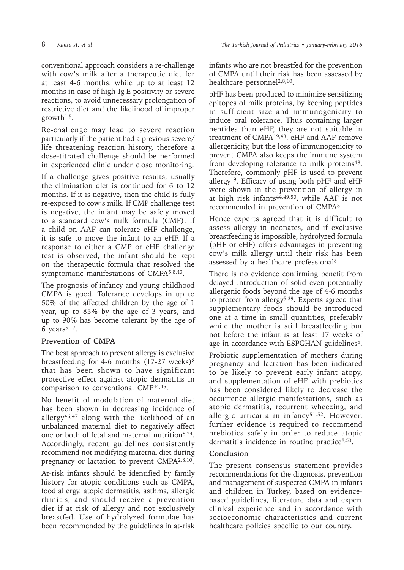conventional approach considers a re-challenge with cow's milk after a therapeutic diet for at least 4-6 months, while up to at least 12 months in case of high-Ig E positivity or severe reactions, to avoid unnecessary prolongation of restrictive diet and the likelihood of improper growth<sup> $1,5$ </sup>.

Re-challenge may lead to severe reaction particularly if the patient had a previous severe/ life threatening reaction history, therefore a dose-titrated challenge should be performed in experienced clinic under close monitoring.

If a challenge gives positive results, usually the elimination diet is continued for 6 to 12 months. If it is negative, then the child is fully re-exposed to cow's milk. If CMP challenge test is negative, the infant may be safely moved to a standard cow's milk formula (CMF). If a child on AAF can tolerate eHF challenge, it is safe to move the infant to an eHF. If a response to either a CMP or eHF challenge test is observed, the infant should be kept on the therapeutic formula that resolved the symptomatic manifestations of CMPA5,8,43.

The prognosis of infancy and young childhood CMPA is good. Tolerance develops in up to 50% of the affected children by the age of 1 year, up to 85% by the age of 3 years, and up to 90% has become tolerant by the age of 6 years $5,17$ .

# **Prevention of CMPA**

The best approach to prevent allergy is exclusive breastfeeding for 4-6 months  $(17-27$  weeks)<sup>8</sup> that has been shown to have significant protective effect against atopic dermatitis in comparison to conventional CMF44,45.

No benefit of modulation of maternal diet has been shown in decreasing incidence of allergy46,47 along with the likelihood of an unbalanced maternal diet to negatively affect one or both of fetal and maternal nutrition8,24. Accordingly, recent guidelines consistently recommend not modifying maternal diet during pregnancy or lactation to prevent CMPA2,8,10.

At-risk infants should be identified by family history for atopic conditions such as CMPA, food allergy, atopic dermatitis, asthma, allergic rhinitis, and should receive a prevention diet if at risk of allergy and not exclusively breastfed. Use of hydrolyzed formulae has been recommended by the guidelines in at-risk

infants who are not breastfed for the prevention of CMPA until their risk has been assessed by healthcare personnel<sup>2,8,10</sup>.

pHF has been produced to minimize sensitizing epitopes of milk proteins, by keeping peptides in sufficient size and immunogenicity to induce oral tolerance. Thus containing larger peptides than eHF, they are not suitable in treatment of CMPA19,48. eHF and AAF remove allergenicity, but the loss of immunogenicity to prevent CMPA also keeps the immune system from developing tolerance to milk proteins<sup>48</sup>. Therefore, commonly pHF is used to prevent allergy<sup>19</sup>. Efficacy of using both pHF and eHF were shown in the prevention of allergy in at high risk infants $4\overline{4}$ , 49,50, while AAF is not recommended in prevention of CMPA8.

Hence experts agreed that it is difficult to assess allergy in neonates, and if exclusive breastfeeding is impossible, hydrolyzed formula (pHF or eHF) offers advantages in preventing cow's milk allergy until their risk has been assessed by a healthcare professional8.

There is no evidence confirming benefit from delayed introduction of solid even potentially allergenic foods beyond the age of 4-6 months to protect from allergy<sup>5,39</sup>. Experts agreed that supplementary foods should be introduced one at a time in small quantities, preferably while the mother is still breastfeeding but not before the infant is at least 17 weeks of age in accordance with ESPGHAN guidelines<sup>5</sup>.

Probiotic supplementation of mothers during pregnancy and lactation has been indicated to be likely to prevent early infant atopy, and supplementation of eHF with prebiotics has been considered likely to decrease the occurrence allergic manifestations, such as atopic dermatitis, recurrent wheezing, and allergic urticaria in infancy<sup>51,52</sup>. However, further evidence is required to recommend prebiotics safely in order to reduce atopic dermatitis incidence in routine practice<sup>8,53</sup>.

# **Conclusion**

The present consensus statement provides recommendations for the diagnosis, prevention and management of suspected CMPA in infants and children in Turkey, based on evidencebased guidelines, literature data and expert clinical experience and in accordance with socioeconomic characteristics and current healthcare policies specific to our country.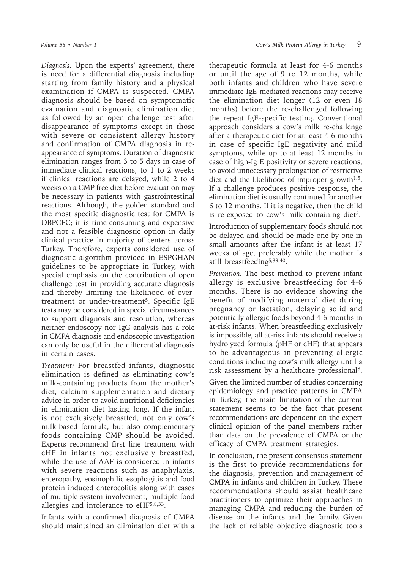*Diagnosis:* Upon the experts' agreement, there is need for a differential diagnosis including starting from family history and a physical examination if CMPA is suspected. CMPA diagnosis should be based on symptomatic evaluation and diagnostic elimination diet as followed by an open challenge test after disappearance of symptoms except in those with severe or consistent allergy history and confirmation of CMPA diagnosis in reappearance of symptoms. Duration of diagnostic elimination ranges from 3 to 5 days in case of immediate clinical reactions, to 1 to 2 weeks if clinical reactions are delayed, while 2 to 4 weeks on a CMP-free diet before evaluation may be necessary in patients with gastrointestinal reactions. Although, the golden standard and the most specific diagnostic test for CMPA is DBPCFC; it is time-consuming and expensive and not a feasible diagnostic option in daily clinical practice in majority of centers across Turkey. Therefore, experts considered use of diagnostic algorithm provided in ESPGHAN guidelines to be appropriate in Turkey, with special emphasis on the contribution of open challenge test in providing accurate diagnosis and thereby limiting the likelihood of overtreatment or under-treatment<sup>5</sup>. Specific IgE tests may be considered in special circumstances to support diagnosis and resolution, whereas neither endoscopy nor IgG analysis has a role in CMPA diagnosis and endoscopic investigation can only be useful in the differential diagnosis in certain cases.

*Treatment:* For breastfed infants, diagnostic elimination is defined as eliminating cow's milk-containing products from the mother's diet, calcium supplementation and dietary advice in order to avoid nutritional deficiencies in elimination diet lasting long. If the infant is not exclusively breastfed, not only cow's milk-based formula, but also complementary foods containing CMP should be avoided. Experts recommend first line treatment with eHF in infants not exclusively breastfed, while the use of AAF is considered in infants with severe reactions such as anaphylaxis, enteropathy, eosinophilic esophagitis and food protein induced enterocolitis along with cases of multiple system involvement, multiple food allergies and intolerance to eHF5,8,33.

Infants with a confirmed diagnosis of CMPA should maintained an elimination diet with a

therapeutic formula at least for 4-6 months or until the age of 9 to 12 months, while both infants and children who have severe immediate IgE-mediated reactions may receive the elimination diet longer (12 or even 18 months) before the re-challenged following the repeat IgE-specific testing. Conventional approach considers a cow's milk re-challenge after a therapeutic diet for at least 4-6 months in case of specific IgE negativity and mild symptoms, while up to at least 12 months in case of high-Ig E positivity or severe reactions, to avoid unnecessary prolongation of restrictive diet and the likelihood of improper growth $1.5$ . If a challenge produces positive response, the elimination diet is usually continued for another 6 to 12 months. If it is negative, then the child is re-exposed to cow's milk containing diet<sup>5</sup>.

Introduction of supplementary foods should not be delayed and should be made one by one in small amounts after the infant is at least 17 weeks of age, preferably while the mother is still breastfeeding5,39,40.

*Prevention:* The best method to prevent infant allergy is exclusive breastfeeding for 4-6 months. There is no evidence showing the benefit of modifying maternal diet during pregnancy or lactation, delaying solid and potentially allergic foods beyond 4-6 months in at-risk infants. When breastfeeding exclusively is impossible, all at-risk infants should receive a hydrolyzed formula (pHF or eHF) that appears to be advantageous in preventing allergic conditions including cow's milk allergy until a risk assessment by a healthcare professional8.

Given the limited number of studies concerning epidemiology and practice patterns in CMPA in Turkey, the main limitation of the current statement seems to be the fact that present recommendations are dependent on the expert clinical opinion of the panel members rather than data on the prevalence of CMPA or the efficacy of CMPA treatment strategies.

In conclusion, the present consensus statement is the first to provide recommendations for the diagnosis, prevention and management of CMPA in infants and children in Turkey. These recommendations should assist healthcare practitioners to optimize their approaches in managing CMPA and reducing the burden of disease on the infants and the family. Given the lack of reliable objective diagnostic tools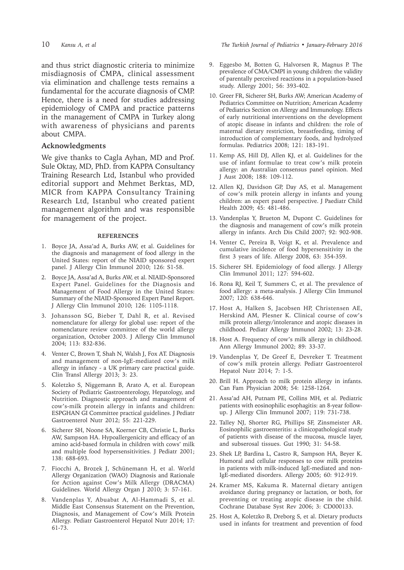and thus strict diagnostic criteria to minimize misdiagnosis of CMPA, clinical assessment via elimination and challenge tests remains a fundamental for the accurate diagnosis of CMP. Hence, there is a need for studies addressing epidemiology of CMPA and practice patterns in the management of CMPA in Turkey along with awareness of physicians and parents about CMPA.

#### **Acknowledgments**

We give thanks to Cagla Ayhan, MD and Prof. Sule Oktay, MD, PhD. from KAPPA Consultancy Training Research Ltd, Istanbul who provided editorial support and Mehmet Berktas, MD, MICR from KAPPA Consultancy Training Research Ltd, Istanbul who created patient management algorithm and was responsible for management of the project.

#### **REFERENCES**

- 1. Boyce JA, Assa'ad A, Burks AW, et al. Guidelines for the diagnosis and management of food allergy in the United States: report of the NIAID sponsored expert panel. J Allergy Clin Immunol 2010; 126: S1-58.
- 2. Boyce JA, Assa'ad A, Burks AW, et al. NIAID-Sponsored Expert Panel. Guidelines for the Diagnosis and Management of Food Allergy in the United States: Summary of the NIAID-Sponsored Expert Panel Report. J Allergy Clin Immunol 2010; 126: 1105-1118.
- 3. Johansson SG, Bieber T, Dahl R, et al. Revised nomenclature for allergy for global use: report of the nomenclature review committee of the world allergy organization, October 2003. J Allergy Clin Immunol 2004; 113: 832-836.
- 4. Venter C, Brown T, Shah N, Walsh J, Fox AT. Diagnosis and management of non-IgE-mediated cow's milk allergy in infancy - a UK primary care practical guide. Clin Transl Allergy 2013; 3: 23.
- 5. Koletzko S, Niggemann B, Arato A, et al. European Society of Pediatric Gastroenterology, Hepatology, and Nutrition. Diagnostic approach and management of cow's-milk protein allergy in infants and children: ESPGHAN GI Committee practical guidelines. J Pediatr Gastroenterol Nutr 2012; 55: 221-229.
- 6. Sicherer SH, Noone SA, Koerner CB, Christie L, Burks AW, Sampson HA. Hypoallergenicity and efficacy of an amino acid-based formula in children with cows' milk and multiple food hypersensitivities. J Pediatr 2001; 138: 688-693.
- 7. Fiocchi A, Brozek J, Schünemann H, et al. World Allergy Organization (WAO) Diagnosis and Rationale for Action against Cow's Milk Allergy (DRACMA) Guidelines. World Allergy Organ J 2010; 3: 57-161.
- 8. Vandenplas Y, Abuabat A, Al-Hammadi S, et al. Middle East Consensus Statement on the Prevention, Diagnosis, and Management of Cow's Milk Protein Allergy. Pediatr Gastroenterol Hepatol Nutr 2014; 17: 61-73.

10 *Kansu A, et al The Turkish Journal of Pediatrics • January-February 2016*

- 9. Eggesbo M, Botten G, Halvorsen R, Magnus P. The prevalence of CMA/CMPI in young children: the validity of parentally perceived reactions in a population-based study. Allergy 2001; 56: 393-402.
- 10. Greer FR, Sicherer SH, Burks AW; American Academy of Pediatrics Committee on Nutrition; American Academy of Pediatrics Section on Allergy and Immunology. Effects of early nutritional interventions on the development of atopic disease in infants and children: the role of maternal dietary restriction, breastfeeding, timing of introduction of complementary foods, and hydrolyzed formulas. Pediatrics 2008; 121: 183-191.
- 11. Kemp AS, Hill DJ, Allen KJ, et al. Guidelines for the use of infant formulae to treat cow's milk protein allergy: an Australian consensus panel opinion. Med J Aust 2008; 188: 109-112.
- 12. Allen KJ, Davidson GP, Day AS, et al. Management of cow's milk protein allergy in infants and young children: an expert panel perspective. J Paediatr Child Health 2009; 45: 481-486.
- 13. Vandenplas Y, Brueton M, Dupont C. Guidelines for the diagnosis and management of cow's milk protein allergy in infants. Arch Dis Child 2007; 92: 902-908.
- 14. Venter C, Pereira B, Voigt K, et al. Prevalence and cumulative incidence of food hypersensitivity in the first 3 years of life. Allergy 2008, 63: 354-359.
- 15. Sicherer SH. Epidemiology of food allergy. J Allergy Clin Immunol 2011; 127: 594-602.
- 16. Rona RJ, Keil T, Summers C, et al. The prevalence of food allergy: a meta-analysis. J Allergy Clin Immunol 2007; 120: 638-646.
- 17. Host A, Halken S, Jacobsen HP, Christensen AE, Herskind AM, Plesner K. Clinical course of cow's milk protein allergy/intolerance and atopic diseases in childhood. Pediatr Allergy Immunol 2002; 13: 23-28.
- 18. Host A. Frequency of cow's milk allergy in childhood. Ann Allergy Immunol 2002; 89: 33-37.
- 19. Vandenplas Y, De Greef E, Devreker T. Treatment of cow's milk protein allergy. Pediatr Gastroenterol Hepatol Nutr 2014; 7: 1-5.
- 20. Brill H. Approach to milk protein allergy in infants. Can Fam Physician 2008; 54: 1258-1264.
- 21. Assa'ad AH, Putnam PE, Collins MH, et al. Pediatric patients with eosinophilic esophagitis: an 8-year followup. J Allergy Clin Immunol 2007; 119: 731-738.
- 22. Talley NJ, Shorter RG, Phillips SF, Zinsmeister AR. Eosinophilic gastroenteritis: a clinicopathological study of patients with disease of the mucosa, muscle layer, and subserosal tissues. Gut 1990; 31: 54-58.
- 23. Shek LP, Bardina L, Castro R, Sampson HA, Beyer K. Humoral and cellular responses to cow milk proteins in patients with milk-induced IgE-mediated and non-IgE-mediated disorders. Allergy 2005; 60: 912-919.
- 24. Kramer MS, Kakuma R. Maternal dietary antigen avoidance during pregnancy or lactation, or both, for preventing or treating atopic disease in the child. Cochrane Database Syst Rev 2006; 3: CD000133.
- 25. Host A, Koletzko B, Dreborg S, et al. Dietary products used in infants for treatment and prevention of food